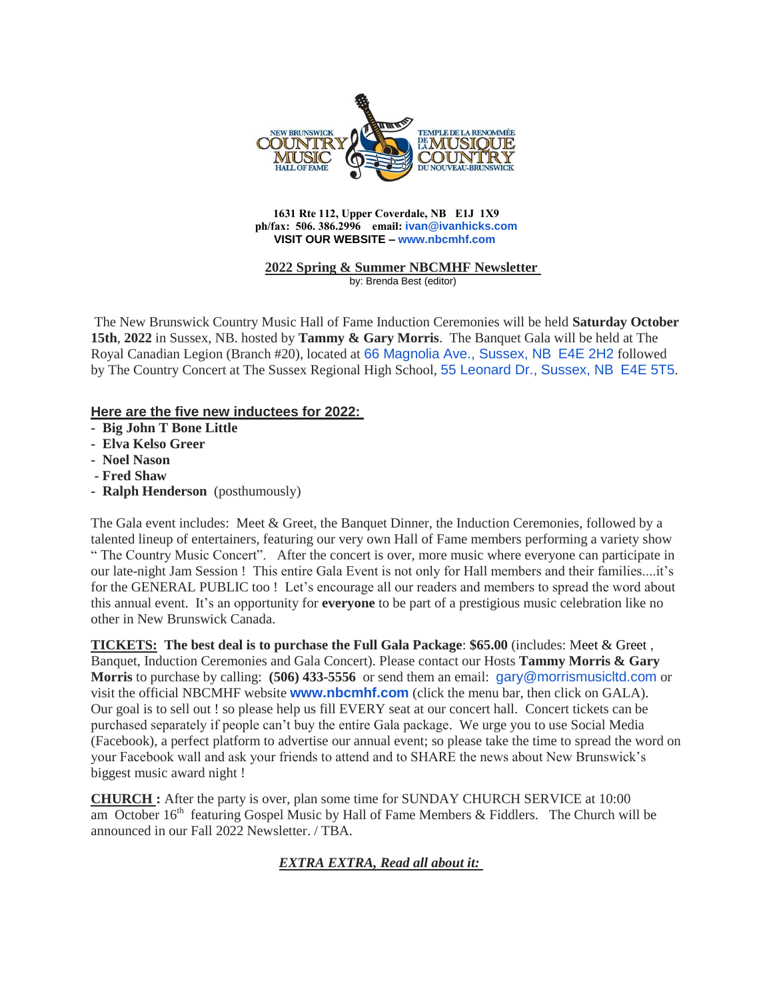

#### **1631 Rte 112, Upper Coverdale, NB E1J 1X9 ph/fax: 506. 386.2996 email: [ivan@ivanhicks.com](mailto:ivan@ivanhicks.com) VISIT OUR WEBSITE – [www.nbcmhf.com](http://www.nbcmhf.com/)**

#### **2022 Spring & Summer NBCMHF Newsletter** by: Brenda Best (editor)

The New Brunswick Country Music Hall of Fame Induction Ceremonies will be held **Saturday October 15th**, **2022** in Sussex, NB. hosted by **Tammy & Gary Morris**. The Banquet Gala will be held at The Royal Canadian Legion (Branch #20), located at [66 Magnolia Ave., Sussex, NB](https://www.google.com/maps/search/66+Magnolia+Ave.,+Sussex,+NB+%0D%0A+E4E+2H2?entry=gmail&source=g) [E4E 2H2](https://www.google.com/maps/search/66+Magnolia+Ave.,+Sussex,+NB+%0D%0A+E4E+2H2?entry=gmail&source=g) followed by The Country Concert at The Sussex Regional High School, [55 Leonard Dr., Sussex, NB](https://www.google.com/maps/search/55+Leonard+Dr.,+Sussex,+NB+%0D%0A+E4E+5T5?entry=gmail&source=g) [E4E 5T5](https://www.google.com/maps/search/55+Leonard+Dr.,+Sussex,+NB+%0D%0A+E4E+5T5?entry=gmail&source=g).

# **Here are the five new inductees for 2022:**

- **Big John T Bone Little**
- **Elva Kelso Greer**
- **Noel Nason**
- **- Fred Shaw**
- **Ralph Henderson** (posthumously)

The Gala event includes: Meet & Greet, the Banquet Dinner, the Induction Ceremonies, followed by a talented lineup of entertainers, featuring our very own Hall of Fame members performing a variety show " The Country Music Concert". After the concert is over, more music where everyone can participate in our late-night Jam Session ! This entire Gala Event is not only for Hall members and their families....it's for the GENERAL PUBLIC too ! Let's encourage all our readers and members to spread the word about this annual event. It's an opportunity for **everyone** to be part of a prestigious music celebration like no other in New Brunswick Canada.

**TICKETS: The best deal is to purchase the Full Gala Package**: **\$65.00** (includes: Meet & Greet , Banquet, Induction Ceremonies and Gala Concert). Please contact our Hosts **Tammy Morris & Gary Morris** to purchase by calling: **(506) 433-5556** or send them an email: [gary@morrismusicltd.com](mailto:gary@morrismusicltd.com) or visit the official NBCMHF website **[www.nbcmhf.com](http://www.nbcmhf.com/)** (click the menu bar, then click on GALA). Our goal is to sell out ! so please help us fill EVERY seat at our concert hall. Concert tickets can be purchased separately if people can't buy the entire Gala package. We urge you to use Social Media (Facebook), a perfect platform to advertise our annual event; so please take the time to spread the word on your Facebook wall and ask your friends to attend and to SHARE the news about New Brunswick's biggest music award night !

**CHURCH :** After the party is over, plan some time for SUNDAY CHURCH SERVICE at 10:00 am October  $16<sup>th</sup>$  featuring Gospel Music by Hall of Fame Members & Fiddlers. The Church will be announced in our Fall 2022 Newsletter. / TBA.

*EXTRA EXTRA, Read all about it:*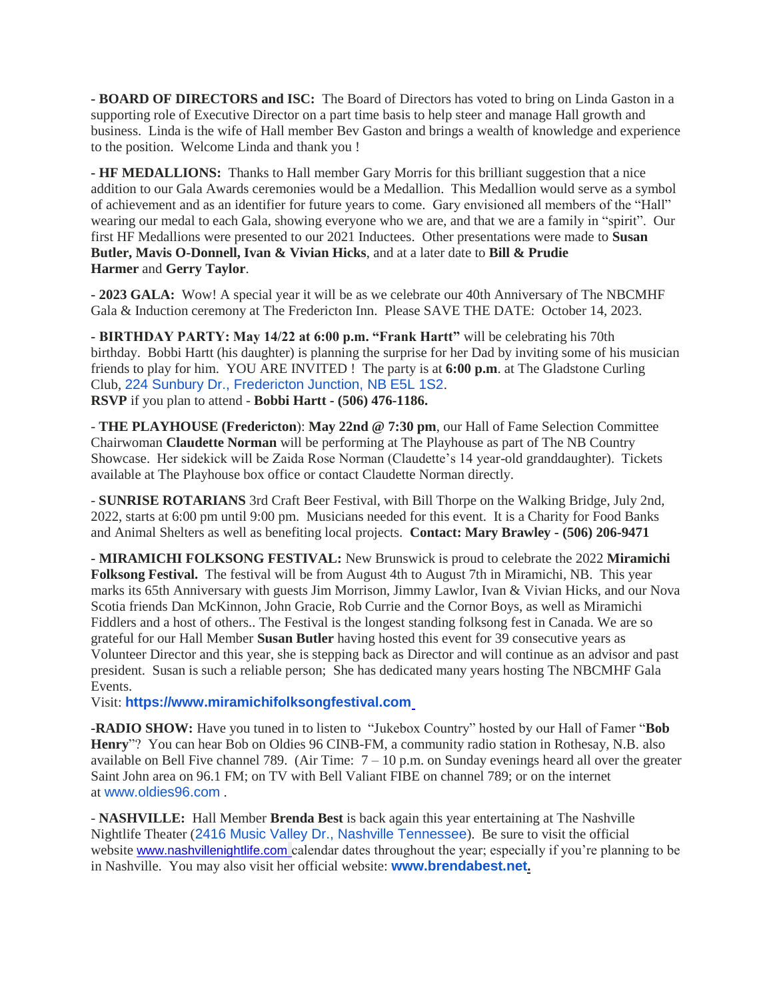**- BOARD OF DIRECTORS and ISC:** The Board of Directors has voted to bring on Linda Gaston in a supporting role of Executive Director on a part time basis to help steer and manage Hall growth and business. Linda is the wife of Hall member Bev Gaston and brings a wealth of knowledge and experience to the position. Welcome Linda and thank you !

**- HF MEDALLIONS:** Thanks to Hall member Gary Morris for this brilliant suggestion that a nice addition to our Gala Awards ceremonies would be a Medallion. This Medallion would serve as a symbol of achievement and as an identifier for future years to come. Gary envisioned all members of the "Hall" wearing our medal to each Gala, showing everyone who we are, and that we are a family in "spirit". Our first HF Medallions were presented to our 2021 Inductees. Other presentations were made to **Susan Butler, Mavis O-Donnell, Ivan & Vivian Hicks**, and at a later date to **Bill & Prudie Harmer** and **Gerry Taylor**.

**- 2023 GALA:** Wow! A special year it will be as we celebrate our 40th Anniversary of The NBCMHF Gala & Induction ceremony at The Fredericton Inn. Please SAVE THE DATE: October 14, 2023.

**- BIRTHDAY PARTY: May 14/22 at 6:00 p.m. "Frank Hartt"** will be celebrating his 70th birthday. Bobbi Hartt (his daughter) is planning the surprise for her Dad by inviting some of his musician friends to play for him. YOU ARE INVITED ! The party is at **6:00 p.m**. at The Gladstone Curling Club, [224 Sunbury Dr., Fredericton Junction, NB E5L 1S2](https://www.google.com/maps/search/224+Sunbury+Dr.,+Fredericton+Junction,+NB+E5L+1S2?entry=gmail&source=g). **RSVP** if you plan to attend - **Bobbi Hartt - (506) 476-1186.**

- **THE PLAYHOUSE (Fredericton**): **May 22nd @ 7:30 pm**, our Hall of Fame Selection Committee Chairwoman **Claudette Norman** will be performing at The Playhouse as part of The NB Country Showcase. Her sidekick will be Zaida Rose Norman (Claudette's 14 year-old granddaughter). Tickets available at The Playhouse box office or contact Claudette Norman directly.

- **SUNRISE ROTARIANS** 3rd Craft Beer Festival, with Bill Thorpe on the Walking Bridge, July 2nd, 2022, starts at 6:00 pm until 9:00 pm. Musicians needed for this event. It is a Charity for Food Banks and Animal Shelters as well as benefiting local projects. **Contact: Mary Brawley - (506) 206-9471**

**- MIRAMICHI FOLKSONG FESTIVAL:** New Brunswick is proud to celebrate the 2022 **Miramichi Folksong Festival.** The festival will be from August 4th to August 7th in Miramichi, NB. This year marks its 65th Anniversary with guests Jim Morrison, Jimmy Lawlor, Ivan & Vivian Hicks, and our Nova Scotia friends Dan McKinnon, John Gracie, Rob Currie and the Cornor Boys, as well as Miramichi Fiddlers and a host of others.. The Festival is the longest standing folksong fest in Canada. We are so grateful for our Hall Member **Susan Butler** having hosted this event for 39 consecutive years as Volunteer Director and this year, she is stepping back as Director and will continue as an advisor and past president. Susan is such a reliable person; She has dedicated many years hosting The NBCMHF Gala Events.

Visit: **[https://www.miramichifolksongfestival.com](https://www.miramichifolksongfestival.com/)**

**-RADIO SHOW:** Have you tuned in to listen to "Jukebox Country" hosted by our Hall of Famer "**Bob Henry**"? You can hear Bob on Oldies 96 CINB-FM, a community radio station in Rothesay, N.B. also available on Bell Five channel 789. (Air Time:  $7 - 10$  p.m. on Sunday evenings heard all over the greater Saint John area on 96.1 FM; on TV with Bell Valiant FIBE on channel 789; or on the internet at [www.oldies96.com](http://www.oldies96.com/) .

- **NASHVILLE:** Hall Member **Brenda Best** is back again this year entertaining at The Nashville Nightlife Theater ([2416 Music Valley Dr., Nashville Tennessee](https://www.google.com/maps/search/2416+Music+Valley+Dr.,+Nashville+Tennessee?entry=gmail&source=g)). Be sure to visit the official website [www.nashvillenightlife.com](https://nam12.safelinks.protection.outlook.com/?url=http%3A%2F%2Fwww.nashvillenightlife.com%2F&data=04%7C01%7C%7C71acd8f30fe548c8457708da180ad19a%7C84df9e7fe9f640afb435aaaaaaaaaaaa%7C1%7C0%7C637848732006781530%7CUnknown%7CTWFpbGZsb3d8eyJWIjoiMC4wLjAwMDAiLCJQIjoiV2luMzIiLCJBTiI6Ik1haWwiLCJXVCI6Mn0%3D%7C3000&sdata=ZuuGkTeaNm4poaVmTwpEZXRfQc2aQ9fWwp8H5DpOEEw%3D&reserved=0) calendar dates throughout the year; especially if you're planning to be in Nashville. You may also visit her official website: **[www.brendabest.net](http://www.brendabest.net/).**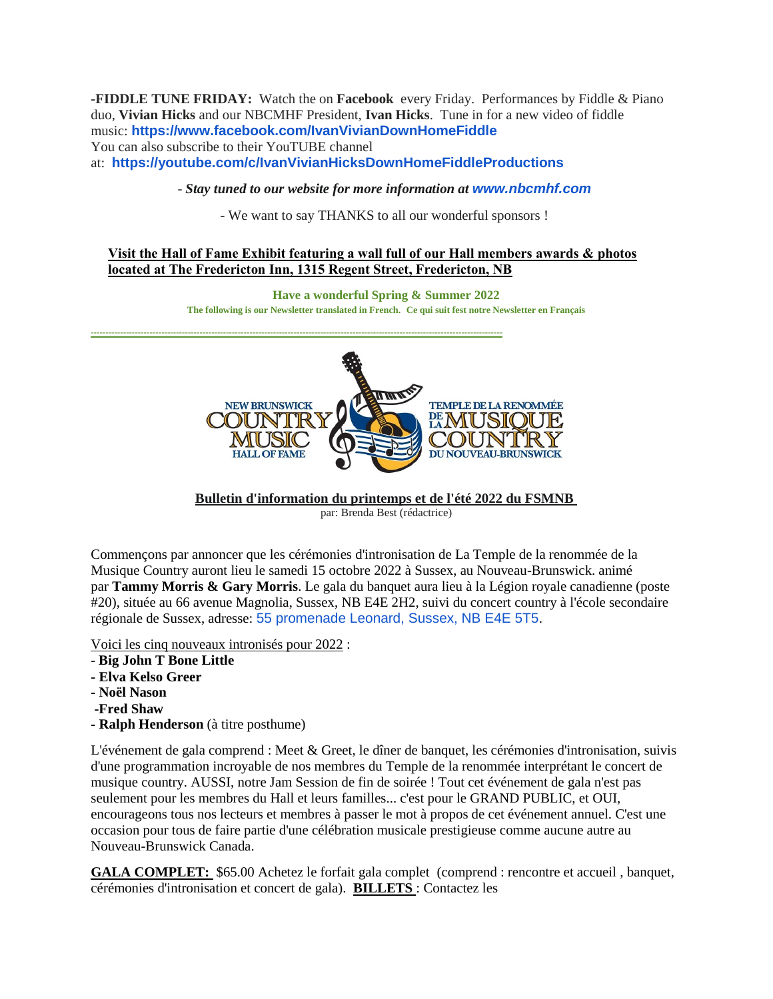**-FIDDLE TUNE FRIDAY:** Watch the on **Facebook** every Friday. Performances by Fiddle & Piano duo, **Vivian Hicks** and our NBCMHF President, **Ivan Hicks**. Tune in for a new video of fiddle music: **<https://www.facebook.com/IvanVivianDownHomeFiddle>** You can also subscribe to their YouTUBE channel at: **<https://youtube.com/c/IvanVivianHicksDownHomeFiddleProductions>**

- *Stay tuned to our website for more information at [www.nbcmhf.com](http://www.nbcmhf.com/)*

- We want to say THANKS to all our wonderful sponsors !

# **Visit the Hall of Fame Exhibit featuring a wall full of our Hall members awards & photos located at The Fredericton Inn, 1315 Regent Street, Fredericton, NB**

**Have a wonderful Spring & Summer 2022 The following is our Newsletter translated in French. Ce qui suit fest notre Newsletter en Français --------------------------------------------------------------------------------------------------------------------------------------------**



**Bulletin d'information du printemps et de l'été 2022 du FSMNB** par: Brenda Best (rédactrice)

Commençons par annoncer que les cérémonies d'intronisation de La Temple de la renommée de la Musique Country auront lieu le samedi 15 octobre 2022 à Sussex, au Nouveau-Brunswick. animé par **Tammy Morris & Gary Morris**. Le gala du banquet aura lieu à la Légion royale canadienne (poste #20), située au 66 avenue Magnolia, Sussex, NB E4E 2H2, suivi du concert country à l'école secondaire régionale de Sussex, adresse: [55 promenade Leonard, Sussex, NB E4E 5T5](https://www.google.com/maps/search/55+promenade+Leonard,+Sussex,+NB+E4E+5T5?entry=gmail&source=g).

Voici les cinq nouveaux intronisés pour 2022 :

- **Big John T Bone Little**
- **- Elva Kelso Greer**
- **- Noël Nason**
- **-Fred Shaw**
- **- Ralph Henderson** (à titre posthume)

L'événement de gala comprend : Meet & Greet, le dîner de banquet, les cérémonies d'intronisation, suivis d'une programmation incroyable de nos membres du Temple de la renommée interprétant le concert de musique country. AUSSI, notre Jam Session de fin de soirée ! Tout cet événement de gala n'est pas seulement pour les membres du Hall et leurs familles... c'est pour le GRAND PUBLIC, et OUI, encourageons tous nos lecteurs et membres à passer le mot à propos de cet événement annuel. C'est une occasion pour tous de faire partie d'une célébration musicale prestigieuse comme aucune autre au Nouveau-Brunswick Canada.

**GALA COMPLET:** \$65.00 Achetez le forfait gala complet (comprend : rencontre et accueil , banquet, cérémonies d'intronisation et concert de gala). **BILLETS** : Contactez les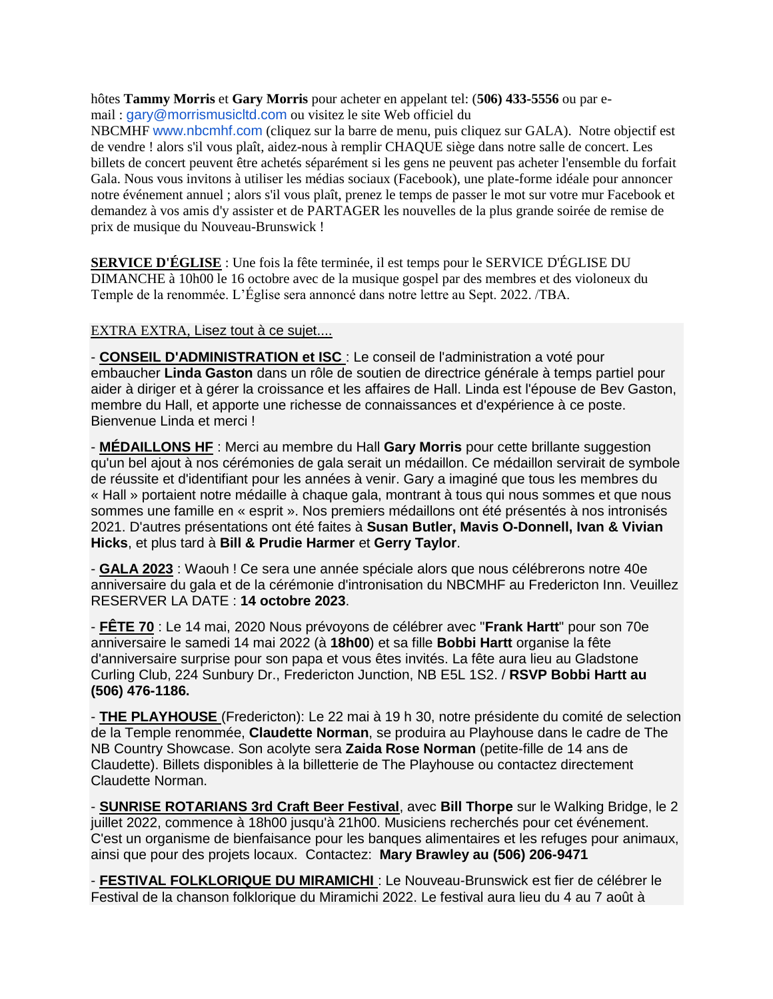hôtes **Tammy Morris** et **Gary Morris** pour acheter en appelant tel: (**506) 433-5556** ou par email : [gary@morrismusicltd.com](mailto:gary@morrismusicltd.com) ou visitez le site Web officiel du

NBCMHF [www.nbcmhf.com](http://www.nbcmhf.com/) (cliquez sur la barre de menu, puis cliquez sur GALA). Notre objectif est de vendre ! alors s'il vous plaît, aidez-nous à remplir CHAQUE siège dans notre salle de concert. Les billets de concert peuvent être achetés séparément si les gens ne peuvent pas acheter l'ensemble du forfait Gala. Nous vous invitons à utiliser les médias sociaux (Facebook), une plate-forme idéale pour annoncer notre événement annuel ; alors s'il vous plaît, prenez le temps de passer le mot sur votre mur Facebook et demandez à vos amis d'y assister et de PARTAGER les nouvelles de la plus grande soirée de remise de prix de musique du Nouveau-Brunswick !

**SERVICE D'ÉGLISE** : Une fois la fête terminée, il est temps pour le SERVICE D'ÉGLISE DU DIMANCHE à 10h00 le 16 octobre avec de la musique gospel par des membres et des violoneux du Temple de la renommée. L'Église sera annoncé dans notre lettre au Sept. 2022. /TBA.

### EXTRA EXTRA, Lisez tout à ce sujet....

- **CONSEIL D'ADMINISTRATION et ISC** : Le conseil de l'administration a voté pour embaucher **Linda Gaston** dans un rôle de soutien de directrice générale à temps partiel pour aider à diriger et à gérer la croissance et les affaires de Hall. Linda est l'épouse de Bev Gaston, membre du Hall, et apporte une richesse de connaissances et d'expérience à ce poste. Bienvenue Linda et merci !

- **MÉDAILLONS HF** : Merci au membre du Hall **Gary Morris** pour cette brillante suggestion qu'un bel ajout à nos cérémonies de gala serait un médaillon. Ce médaillon servirait de symbole de réussite et d'identifiant pour les années à venir. Gary a imaginé que tous les membres du « Hall » portaient notre médaille à chaque gala, montrant à tous qui nous sommes et que nous sommes une famille en « esprit ». Nos premiers médaillons ont été présentés à nos intronisés 2021. D'autres présentations ont été faites à **Susan Butler, Mavis O-Donnell, Ivan & Vivian Hicks**, et plus tard à **Bill & Prudie Harmer** et **Gerry Taylor**.

- **GALA 2023** : Waouh ! Ce sera une année spéciale alors que nous célébrerons notre 40e anniversaire du gala et de la cérémonie d'intronisation du NBCMHF au Fredericton Inn. Veuillez RESERVER LA DATE : **14 octobre 2023**.

- **FÊTE 70** : Le 14 mai, 2020 Nous prévoyons de célébrer avec "**Frank Hartt**" pour son 70e anniversaire le samedi 14 mai 2022 (à **18h00**) et sa fille **Bobbi Hartt** organise la fête d'anniversaire surprise pour son papa et vous êtes invités. La fête aura lieu au Gladstone Curling Club, 224 Sunbury Dr., Fredericton Junction, NB E5L 1S2. / **RSVP Bobbi Hartt au (506) 476-1186.**

- **THE PLAYHOUSE** (Fredericton): Le 22 mai à 19 h 30, notre présidente du comité de selection de la Temple renommée, **Claudette Norman**, se produira au Playhouse dans le cadre de The NB Country Showcase. Son acolyte sera **Zaida Rose Norman** (petite-fille de 14 ans de Claudette). Billets disponibles à la billetterie de The Playhouse ou contactez directement Claudette Norman.

- **SUNRISE ROTARIANS 3rd Craft Beer Festival**, avec **Bill Thorpe** sur le Walking Bridge, le 2 juillet 2022, commence à 18h00 jusqu'à 21h00. Musiciens recherchés pour cet événement. C'est un organisme de bienfaisance pour les banques alimentaires et les refuges pour animaux, ainsi que pour des projets locaux. Contactez: **Mary Brawley au (506) 206-9471**

- **FESTIVAL FOLKLORIQUE DU MIRAMICHI** : Le Nouveau-Brunswick est fier de célébrer le Festival de la chanson folklorique du Miramichi 2022. Le festival aura lieu du 4 au 7 août à